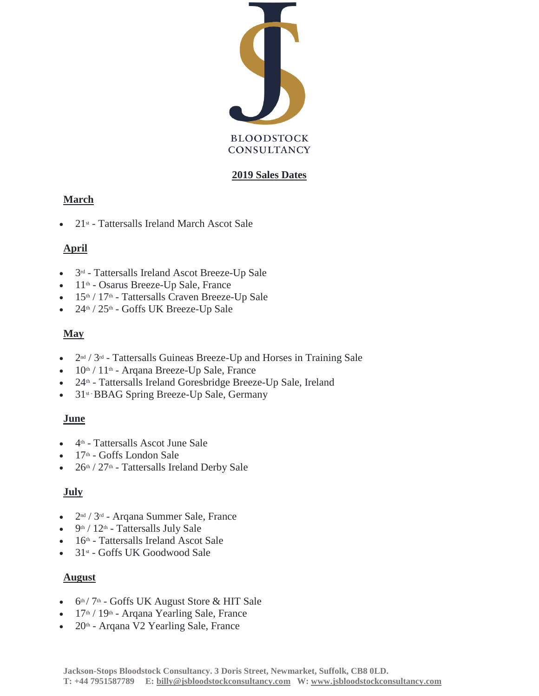

#### **2019 Sales Dates**

## **March**

• 21st - Tattersalls Ireland March Ascot Sale

# **April**

- 3<sup>rd</sup> Tattersalls Ireland Ascot Breeze-Up Sale
- 11th Osarus Breeze-Up Sale, France
- 15<sup>th</sup> / 17<sup>th</sup> Tattersalls Craven Breeze-Up Sale
- $24<sup>th</sup> / 25<sup>th</sup>$  Goffs UK Breeze-Up Sale

## **May**

- $2<sup>nd</sup> / 3<sup>rd</sup>$  Tattersalls Guineas Breeze-Up and Horses in Training Sale
- $10<sup>th</sup> / 11<sup>th</sup>$  Arqana Breeze-Up Sale, France
- 24th Tattersalls Ireland Goresbridge Breeze-Up Sale, Ireland
- 31<sup>st</sup> BBAG Spring Breeze-Up Sale, Germany

## **June**

- 4th Tattersalls Ascot June Sale
- 17<sup>th</sup> Goffs London Sale
- $26<sup>th</sup> / 27<sup>th</sup>$  Tattersalls Ireland Derby Sale

## **July**

- 2nd / 3rd Arqana Summer Sale, France
- 9th / 12th Tattersalls July Sale
- $16<sup>th</sup>$  Tattersalls Ireland Ascot Sale
- $\bullet$  31st Goffs UK Goodwood Sale

## **August**

- $6<sup>th</sup> / 7<sup>th</sup>$  Goffs UK August Store & HIT Sale
- 17<sup>th</sup> / 19<sup>th</sup> Arqana Yearling Sale, France
- $20<sup>th</sup>$  Arqana V2 Yearling Sale, France